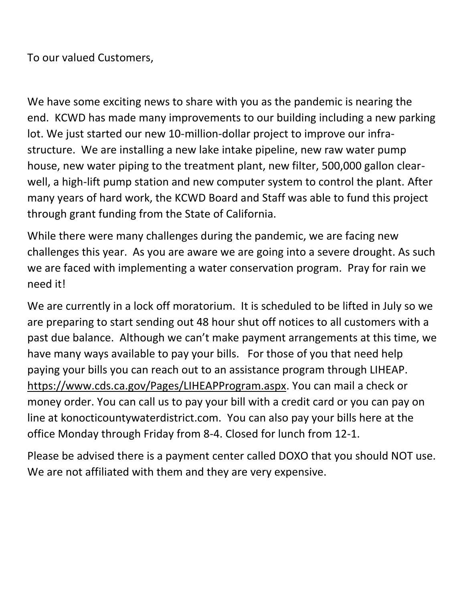To our valued Customers,

We have some exciting news to share with you as the pandemic is nearing the end. KCWD has made many improvements to our building including a new parking lot. We just started our new 10-million-dollar project to improve our infrastructure. We are installing a new lake intake pipeline, new raw water pump house, new water piping to the treatment plant, new filter, 500,000 gallon clearwell, a high-lift pump station and new computer system to control the plant. After many years of hard work, the KCWD Board and Staff was able to fund this project through grant funding from the State of California.

While there were many challenges during the pandemic, we are facing new challenges this year. As you are aware we are going into a severe drought. As such we are faced with implementing a water conservation program. Pray for rain we need it!

We are currently in a lock off moratorium. It is scheduled to be lifted in July so we are preparing to start sending out 48 hour shut off notices to all customers with a past due balance. Although we can't make payment arrangements at this time, we have many ways available to pay your bills. For those of you that need help paying your bills you can reach out to an assistance program through LIHEAP. [https://www.cds.ca.gov/Pages/LIHEAPProgram.aspx.](https://www.cds.ca.gov/Pages/LIHEAPProgram.aspx) You can mail a check or money order. You can call us to pay your bill with a credit card or you can pay on line at konocticountywaterdistrict.com. You can also pay your bills here at the office Monday through Friday from 8-4. Closed for lunch from 12-1.

Please be advised there is a payment center called DOXO that you should NOT use. We are not affiliated with them and they are very expensive.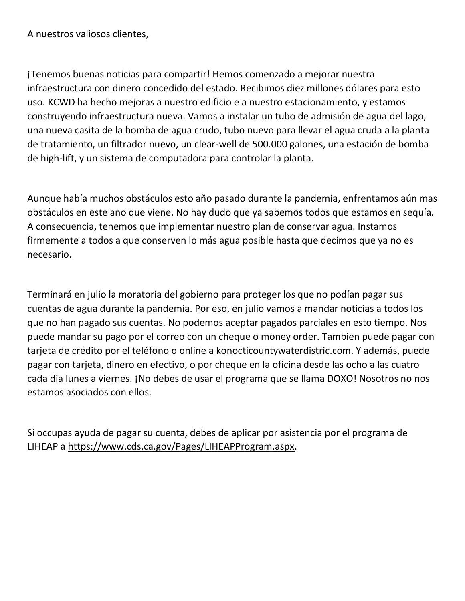A nuestros valiosos clientes,

¡Tenemos buenas noticias para compartir! Hemos comenzado a mejorar nuestra infraestructura con dinero concedido del estado. Recibimos diez millones dólares para esto uso. KCWD ha hecho mejoras a nuestro edificio e a nuestro estacionamiento, y estamos construyendo infraestructura nueva. Vamos a instalar un tubo de admisión de agua del lago, una nueva casita de la bomba de agua crudo, tubo nuevo para llevar el agua cruda a la planta de tratamiento, un filtrador nuevo, un clear-well de 500.000 galones, una estación de bomba de high-lift, y un sistema de computadora para controlar la planta.

Aunque había muchos obstáculos esto año pasado durante la pandemia, enfrentamos aún mas obstáculos en este ano que viene. No hay dudo que ya sabemos todos que estamos en sequía. A consecuencia, tenemos que implementar nuestro plan de conservar agua. Instamos firmemente a todos a que conserven lo más agua posible hasta que decimos que ya no es necesario.

Terminará en julio la moratoria del gobierno para proteger los que no podían pagar sus cuentas de agua durante la pandemia. Por eso, en julio vamos a mandar noticias a todos los que no han pagado sus cuentas. No podemos aceptar pagados parciales en esto tiempo. Nos puede mandar su pago por el correo con un cheque o money order. Tambien puede pagar con tarjeta de crédito por el teléfono o online a konocticountywaterdistric.com. Y además, puede pagar con tarjeta, dinero en efectivo, o por cheque en la oficina desde las ocho a las cuatro cada dia lunes a viernes. ¡No debes de usar el programa que se llama DOXO! Nosotros no nos estamos asociados con ellos.

Si occupas ayuda de pagar su cuenta, debes de aplicar por asistencia por el programa de LIHEAP a [https://www.cds.ca.gov/Pages/LIHEAPProgram.aspx.](https://www.cds.ca.gov/Pages/LIHEAPProgram.aspx)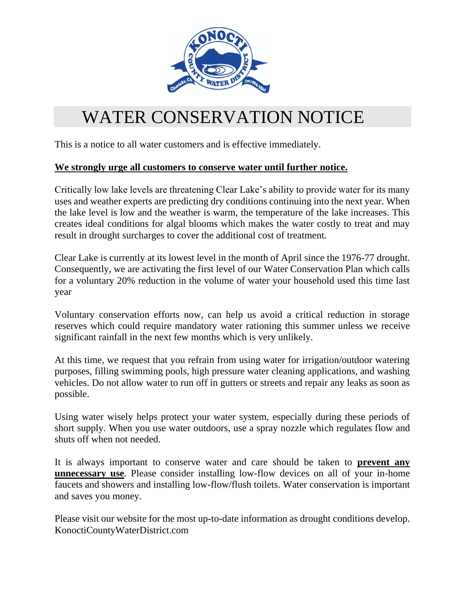

## WATER CONSERVATION NOTICE

This is a notice to all water customers and is effective immediately.

#### **We strongly urge all customers to conserve water until further notice.**

Critically low lake levels are threatening Clear Lake's ability to provide water for its many uses and weather experts are predicting dry conditions continuing into the next year. When the lake level is low and the weather is warm, the temperature of the lake increases. This creates ideal conditions for algal blooms which makes the water costly to treat and may result in drought surcharges to cover the additional cost of treatment.

Clear Lake is currently at its lowest level in the month of April since the 1976-77 drought. Consequently, we are activating the first level of our Water Conservation Plan which calls for a voluntary 20% reduction in the volume of water your household used this time last year

Voluntary conservation efforts now, can help us avoid a critical reduction in storage reserves which could require mandatory water rationing this summer unless we receive significant rainfall in the next few months which is very unlikely.

At this time, we request that you refrain from using water for irrigation/outdoor watering purposes, filling swimming pools, high pressure water cleaning applications, and washing vehicles. Do not allow water to run off in gutters or streets and repair any leaks as soon as possible.

Using water wisely helps protect your water system, especially during these periods of short supply. When you use water outdoors, use a spray nozzle which regulates flow and shuts off when not needed.

It is always important to conserve water and care should be taken to **prevent any unnecessary use**. Please consider installing low-flow devices on all of your in-home faucets and showers and installing low-flow/flush toilets. Water conservation is important and saves you money.

Please visit our website for the most up-to-date information as drought conditions develop. KonoctiCountyWaterDistrict.com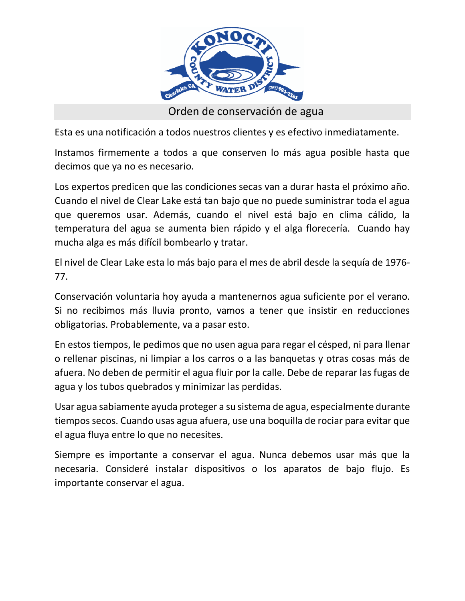

Orden de conservación de agua

Esta es una notificación a todos nuestros clientes y es efectivo inmediatamente.

Instamos firmemente a todos a que conserven lo más agua posible hasta que decimos que ya no es necesario.

Los expertos predicen que las condiciones secas van a durar hasta el próximo año. Cuando el nivel de Clear Lake está tan bajo que no puede suministrar toda el agua que queremos usar. Además, cuando el nivel está bajo en clima cálido, la temperatura del agua se aumenta bien rápido y el alga florecería. Cuando hay mucha alga es más difícil bombearlo y tratar.

El nivel de Clear Lake esta lo más bajo para el mes de abril desde la sequía de 1976- 77.

Conservación voluntaria hoy ayuda a mantenernos agua suficiente por el verano. Si no recibimos más lluvia pronto, vamos a tener que insistir en reducciones obligatorias. Probablemente, va a pasar esto.

En estos tiempos, le pedimos que no usen agua para regar el césped, ni para llenar o rellenar piscinas, ni limpiar a los carros o a las banquetas y otras cosas más de afuera. No deben de permitir el agua fluir por la calle. Debe de reparar las fugas de agua y los tubos quebrados y minimizar las perdidas.

Usar agua sabiamente ayuda proteger a su sistema de agua, especialmente durante tiempos secos. Cuando usas agua afuera, use una boquilla de rociar para evitar que el agua fluya entre lo que no necesites.

Siempre es importante a conservar el agua. Nunca debemos usar más que la necesaria. Consideré instalar dispositivos o los aparatos de bajo flujo. Es importante conservar el agua.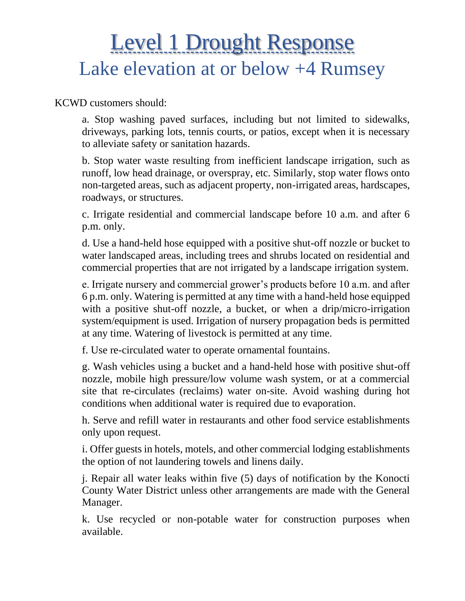# Level 1 Drought Response Lake elevation at or below +4 Rumsey

KCWD customers should:

a. Stop washing paved surfaces, including but not limited to sidewalks, driveways, parking lots, tennis courts, or patios, except when it is necessary to alleviate safety or sanitation hazards.

b. Stop water waste resulting from inefficient landscape irrigation, such as runoff, low head drainage, or overspray, etc. Similarly, stop water flows onto non-targeted areas, such as adjacent property, non-irrigated areas, hardscapes, roadways, or structures.

c. Irrigate residential and commercial landscape before 10 a.m. and after 6 p.m. only.

d. Use a hand-held hose equipped with a positive shut-off nozzle or bucket to water landscaped areas, including trees and shrubs located on residential and commercial properties that are not irrigated by a landscape irrigation system.

e. Irrigate nursery and commercial grower's products before 10 a.m. and after 6 p.m. only. Watering is permitted at any time with a hand-held hose equipped with a positive shut-off nozzle, a bucket, or when a drip/micro-irrigation system/equipment is used. Irrigation of nursery propagation beds is permitted at any time. Watering of livestock is permitted at any time.

f. Use re-circulated water to operate ornamental fountains.

g. Wash vehicles using a bucket and a hand-held hose with positive shut-off nozzle, mobile high pressure/low volume wash system, or at a commercial site that re-circulates (reclaims) water on-site. Avoid washing during hot conditions when additional water is required due to evaporation.

h. Serve and refill water in restaurants and other food service establishments only upon request.

i. Offer guests in hotels, motels, and other commercial lodging establishments the option of not laundering towels and linens daily.

j. Repair all water leaks within five (5) days of notification by the Konocti County Water District unless other arrangements are made with the General Manager.

k. Use recycled or non-potable water for construction purposes when available.